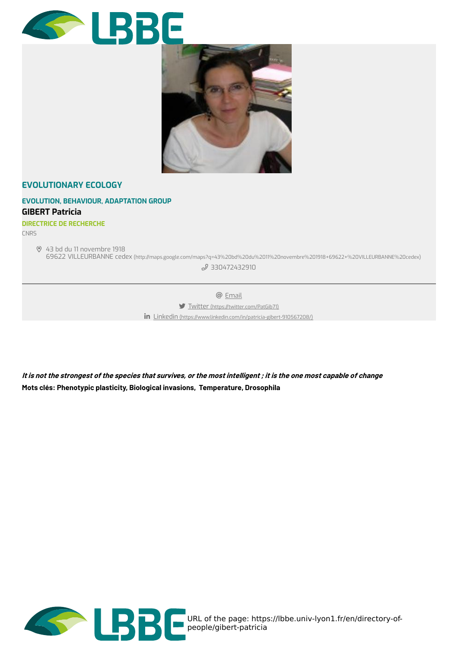



### **[EVOLUTIONARY](https://lbbe.univ-lyon1.fr/en/evolutionary-ecology) ECOLOGY**

## **EVOLUTION, BEHAVIOUR, [ADAPTATION](https://lbbe.univ-lyon1.fr/en/evolution-behaviour-adaptation-group) GROUP GIBERT Patricia**

#### **DIRECTRICE DE RECHERCHE**

CNRS

43 bd du 11 novembre 1918

69622 VILLEURBANNE cedex [\(http://maps.google.com/maps?q=43%20bd%20du%2011%20novembre%201918+69622+%20VILLEURBANNE%20cedex\)](http://maps.google.com/maps?q=43%20bd%20du%2011%20novembre%201918+69622+%20VILLEURBANNE%20cedex) 2[330472432910](tel:330472432910)

@ [Email](https://lbbe.univ-lyon1.fr/en/get-mail-to/Y25nZXZwdm4vcWJnL3R2b3JlZy9uZy9oYXZpLXlsYmExL3FiZy9zZQ%253D%253D)

Twitter [\(https://twitter.com/PatGib71\)](https://twitter.com/PatGib71)

Linkedin [\(https://www.linkedin.com/in/patricia-gibert-910567208/\)](https://www.linkedin.com/in/patricia-gibert-910567208/)

It is not the strongest of the species that survives, or the most intelligent ; it is the one most capable of change **Mots clés: Phenotypic plasticity, Biological invasions, Temperature, Drosophila**

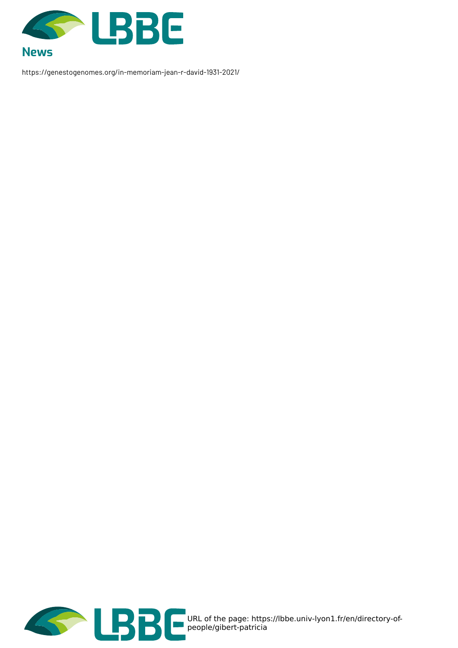

https://genestogenomes.org/in-memoriam-jean-r-david-1931-2021/

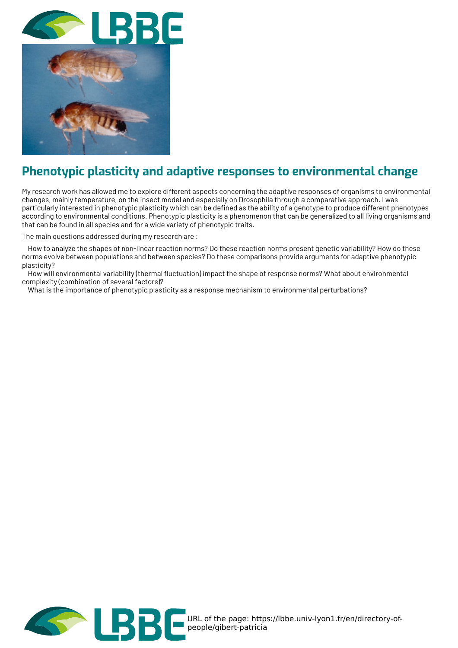

# **Phenotypic plasticity and adaptive responses to environmental change**

My research work has allowed me to explore different aspects concerning the adaptive responses of organisms to environmental changes, mainly temperature, on the insect model and especially on Drosophila through a comparative approach. I was particularly interested in phenotypic plasticity which can be defined as the ability of a genotype to produce different phenotypes according to environmental conditions. Phenotypic plasticity is a phenomenon that can be generalized to all living organisms and that can be found in all species and for a wide variety of phenotypic traits.

The main questions addressed during my research are :

How to analyze the shapes of non-linear reaction norms? Do these reaction norms present genetic variability? How do these norms evolve between populations and between species? Do these comparisons provide arguments for adaptive phenotypic plasticity?

How will environmental variability (thermal fluctuation) impact the shape of response norms? What about environmental complexity (combination of several factors)?

What is the importance of phenotypic plasticity as a response mechanism to environmental perturbations?

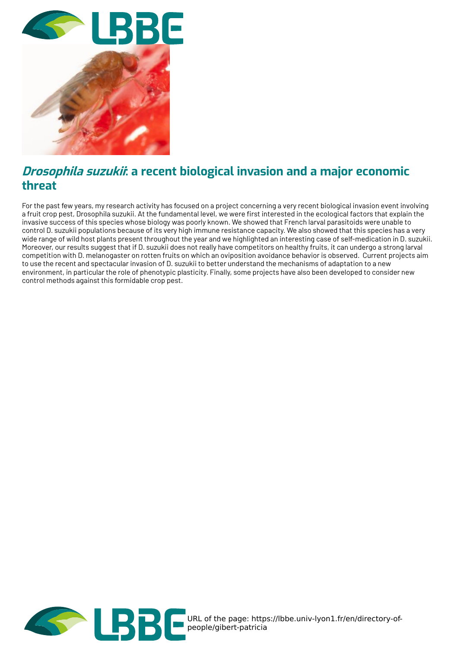

## **Drosophila suzukii: a recent biological invasion and a major economic threat**

For the past few years, my research activity has focused on a project concerning a very recent biological invasion event involving a fruit crop pest, Drosophila suzukii. At the fundamental level, we were first interested in the ecological factors that explain the invasive success of this species whose biology was poorly known. We showed that French larval parasitoids were unable to control D. suzukii populations because of its very high immune resistance capacity. We also showed that this species has a very wide range of wild host plants present throughout the year and we highlighted an interesting case of self-medication in D. suzukii. Moreover, our results suggest that if D. suzukii does not really have competitors on healthy fruits, it can undergo a strong larval competition with D. melanogaster on rotten fruits on which an oviposition avoidance behavior is observed. Current projects aim to use the recent and spectacular invasion of D. suzukii to better understand the mechanisms of adaptation to a new environment, in particular the role of phenotypic plasticity. Finally, some projects have also been developed to consider new control methods against this formidable crop pest.

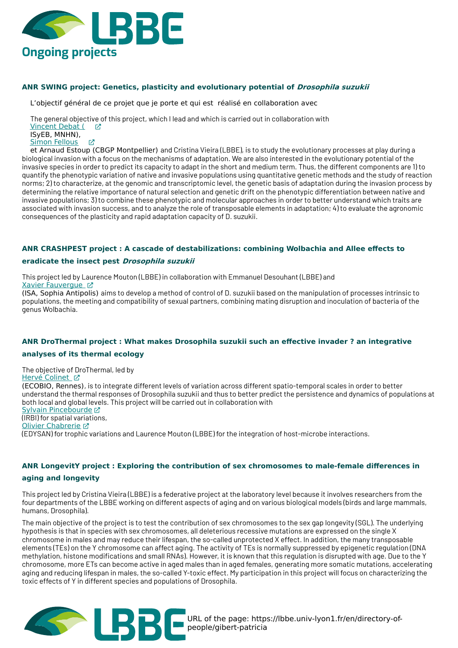

#### **ANR SWING project: Genetics, plasticity and evolutionary potential of Drosophila suzukii**

L'objectif général de ce projet que je porte et qui est réalisé en collaboration avec

The general objective of this project, which I lead and which is carried out in collaboration with [Vincent](https://isyeb.mnhn.fr/fr/annuaire/vincent-debat-378) Debat ( 子 ISyEB, MNHN),

Simon [Fellous](https://www6.montpellier.inrae.fr/cbgp/Personnel/Personnel-permanent/Fellous) Z

et Arnaud Estoup (CBGP Montpellier) and Cristina Vieira (LBBE), is to study the evolutionary processes at play during a biological invasion with a focus on the mechanisms of adaptation. We are also interested in the evolutionary potential of the invasive species in order to predict its capacity to adapt in the short and medium term. Thus, the different components are 1) to quantify the phenotypic variation of native and invasive populations using quantitative genetic methods and the study of reaction norms; 2) to characterize, at the genomic and transcriptomic level, the genetic basis of adaptation during the invasion process by determining the relative importance of natural selection and genetic drift on the phenotypic differentiation between native and invasive populations; 3) to combine these phenotypic and molecular approaches in order to better understand which traits are associated with invasion success, and to analyze the role of transposable elements in adaptation; 4) to evaluate the agronomic consequences of the plasticity and rapid adaptation capacity of D. suzukii.

#### **ANR CRASHPEST project : A cascade of destabilizations: combining Wolbachia and Allee effects to**

#### **eradicate the insect pest Drosophila suzukii**

This project led by Laurence Mouton (LBBE) in collaboration with Emmanuel Desouhant (LBBE) and Xavier [Fauvergue](http://www2.sophia.inra.fr/perso/fauvergue/) [7]

(ISA, Sophia Antipolis) aims to develop a method of control of D. suzukii based on the manipulation of processes intrinsic to populations, the meeting and compatibility of sexual partners, combining mating disruption and inoculation of bacteria of the genus Wolbachia.

#### **ANR DroThermal project : What makes Drosophila suzukii such an effective invader ? an integrative**

#### **analyses of its thermal ecology**

The objective of DroThermal, led by Hervé [Colinet](https://osur.univ-rennes1.fr/page/herve-colinet-ecobio-arrive-a-l039osur) Z (ECOBIO, Rennes), is to integrate different levels of variation across different spatio-temporal scales in order to better understand the thermal responses of Drosophila suzukii and thus to better predict the persistence and dynamics of populations at both local and global levels. This project will be carried out in collaboration with Sylvain [Pincebourde](https://www.univ-tours.fr/annuaire/m-sylvain-pincebourde) (IRBI) for spatial variations, Olivier [Chabrerie](https://www.u-picardie.fr/edysan/_listing-personnel/olivier-chabrerie/) Z (EDYSAN) for trophic variations and Laurence Mouton (LBBE) for the integration of host-microbe interactions.

#### **ANR LongevitY project : Exploring the contribution of sex chromosomes to male-female differences in**

#### **aging and longevity**

This project led by Cristina Vieira (LBBE) is a federative project at the laboratory level because it involves researchers from the four departments of the LBBE working on different aspects of aging and on various biological models (birds and large mammals, humans, Drosophila).

The main objective of the project is to test the contribution of sex chromosomes to the sex gap longevity (SGL). The underlying hypothesis is that in species with sex chromosomes, all deleterious recessive mutations are expressed on the single X chromosome in males and may reduce their lifespan, the so-called unprotected X effect. In addition, the many transposable elements (TEs) on the Y chromosome can affect aging. The activity of TEs is normally suppressed by epigenetic regulation (DNA methylation, histone modifications and small RNAs). However, it is known that this regulation is disrupted with age. Due to the Y chromosome, more ETs can become active in aged males than in aged females, generating more somatic mutations, accelerating aging and reducing lifespan in males, the so-called Y-toxic effect. My participation in this project will focus on characterizing the toxic effects of Y in different species and populations of Drosophila.



URL of the page: https://lbbe.univ-lyon1.fr/en/directory-ofpeople/gibert-patricia